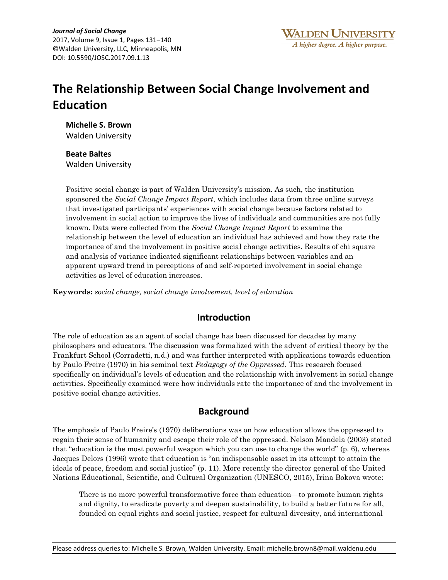# **The Relationship Between Social Change Involvement and Education**

**Michelle S. Brown**  Walden University

# **Beate Baltes**

Walden University

Positive social change is part of Walden University's mission. As such, the institution sponsored the *Social Change Impact Report*, which includes data from three online surveys that investigated participants' experiences with social change because factors related to involvement in social action to improve the lives of individuals and communities are not fully known. Data were collected from the *Social Change Impact Report* to examine the relationship between the level of education an individual has achieved and how they rate the importance of and the involvement in positive social change activities. Results of chi square and analysis of variance indicated significant relationships between variables and an apparent upward trend in perceptions of and self-reported involvement in social change activities as level of education increases.

**Keywords:** *social change, social change involvement, level of education*

## **Introduction**

The role of education as an agent of social change has been discussed for decades by many philosophers and educators. The discussion was formalized with the advent of critical theory by the Frankfurt School (Corradetti, n.d.) and was further interpreted with applications towards education by Paulo Freire (1970) in his seminal text *Pedagogy of the Oppressed*. This research focused specifically on individual's levels of education and the relationship with involvement in social change activities. Specifically examined were how individuals rate the importance of and the involvement in positive social change activities.

## **Background**

The emphasis of Paulo Freire's (1970) deliberations was on how education allows the oppressed to regain their sense of humanity and escape their role of the oppressed. Nelson Mandela (2003) stated that "education is the most powerful weapon which you can use to change the world" (p. 6), whereas Jacques Delors (1996) wrote that education is "an indispensable asset in its attempt to attain the ideals of peace, freedom and social justice" (p. 11). More recently the director general of the United Nations Educational, Scientific, and Cultural Organization (UNESCO, 2015), Irina Bokova wrote:

There is no more powerful transformative force than education—to promote human rights and dignity, to eradicate poverty and deepen sustainability, to build a better future for all, founded on equal rights and social justice, respect for cultural diversity, and international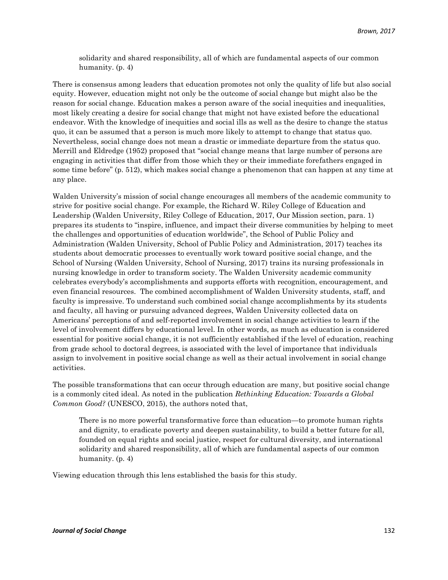solidarity and shared responsibility, all of which are fundamental aspects of our common humanity. (p. 4)

There is consensus among leaders that education promotes not only the quality of life but also social equity. However, education might not only be the outcome of social change but might also be the reason for social change. Education makes a person aware of the social inequities and inequalities, most likely creating a desire for social change that might not have existed before the educational endeavor. With the knowledge of inequities and social ills as well as the desire to change the status quo, it can be assumed that a person is much more likely to attempt to change that status quo. Nevertheless, social change does not mean a drastic or immediate departure from the status quo. Merrill and Eldredge (1952) proposed that "social change means that large number of persons are engaging in activities that differ from those which they or their immediate forefathers engaged in some time before" (p. 512), which makes social change a phenomenon that can happen at any time at any place.

Walden University's mission of social change encourages all members of the academic community to strive for positive social change. For example, the Richard W. Riley College of Education and Leadership (Walden University, Riley College of Education, 2017, Our Mission section, para. 1) prepares its students to "inspire, influence, and impact their diverse communities by helping to meet the challenges and opportunities of education worldwide", the School of Public Policy and Administration (Walden University, School of Public Policy and Administration, 2017) teaches its students about democratic processes to eventually work toward positive social change, and the School of Nursing (Walden University, School of Nursing, 2017) trains its nursing professionals in nursing knowledge in order to transform society. The Walden University academic community celebrates everybody's accomplishments and supports efforts with recognition, encouragement, and even financial resources. The combined accomplishment of Walden University students, staff, and faculty is impressive. To understand such combined social change accomplishments by its students and faculty, all having or pursuing advanced degrees, Walden University collected data on Americans' perceptions of and self-reported involvement in social change activities to learn if the level of involvement differs by educational level. In other words, as much as education is considered essential for positive social change, it is not sufficiently established if the level of education, reaching from grade school to doctoral degrees, is associated with the level of importance that individuals assign to involvement in positive social change as well as their actual involvement in social change activities.

The possible transformations that can occur through education are many, but positive social change is a commonly cited ideal. As noted in the publication *Rethinking Education: Towards a Global Common Good?* (UNESCO, 2015), the authors noted that,

There is no more powerful transformative force than education—to promote human rights and dignity, to eradicate poverty and deepen sustainability, to build a better future for all, founded on equal rights and social justice, respect for cultural diversity, and international solidarity and shared responsibility, all of which are fundamental aspects of our common humanity. (p. 4)

Viewing education through this lens established the basis for this study.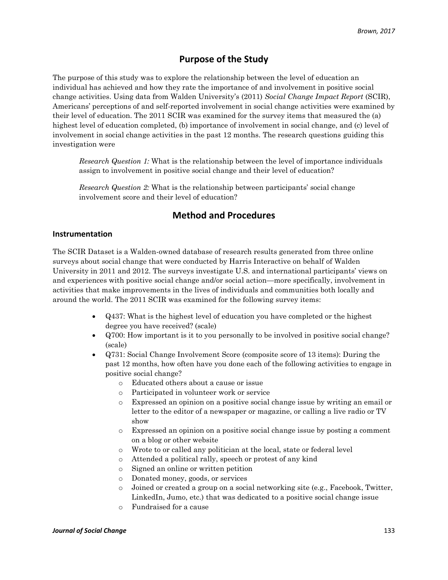# **Purpose of the Study**

The purpose of this study was to explore the relationship between the level of education an individual has achieved and how they rate the importance of and involvement in positive social change activities. Using data from Walden University's (2011) *Social Change Impact Report* (SCIR), Americans' perceptions of and self-reported involvement in social change activities were examined by their level of education. The 2011 SCIR was examined for the survey items that measured the (a) highest level of education completed, (b) importance of involvement in social change, and (c) level of involvement in social change activities in the past 12 months. The research questions guiding this investigation were

*Research Question 1:* What is the relationship between the level of importance individuals assign to involvement in positive social change and their level of education?

*Research Question 2:* What is the relationship between participants' social change involvement score and their level of education?

## **Method and Procedures**

#### **Instrumentation**

The SCIR Dataset is a Walden-owned database of research results generated from three online surveys about social change that were conducted by Harris Interactive on behalf of Walden University in 2011 and 2012. The surveys investigate U.S. and international participants' views on and experiences with positive social change and/or social action—more specifically, involvement in activities that make improvements in the lives of individuals and communities both locally and around the world. The 2011 SCIR was examined for the following survey items:

- Q437: What is the highest level of education you have completed or the highest degree you have received? (scale)
- Q700: How important is it to you personally to be involved in positive social change? (scale)
- Q731: Social Change Involvement Score (composite score of 13 items): During the past 12 months, how often have you done each of the following activities to engage in positive social change?
	- o Educated others about a cause or issue
	- o Participated in volunteer work or service
	- o Expressed an opinion on a positive social change issue by writing an email or letter to the editor of a newspaper or magazine, or calling a live radio or TV show
	- o Expressed an opinion on a positive social change issue by posting a comment on a blog or other website
	- o Wrote to or called any politician at the local, state or federal level
	- o Attended a political rally, speech or protest of any kind
	- o Signed an online or written petition
	- o Donated money, goods, or services
	- $\circ$  Joined or created a group on a social networking site (e.g., Facebook, Twitter, LinkedIn, Jumo, etc.) that was dedicated to a positive social change issue
	- o Fundraised for a cause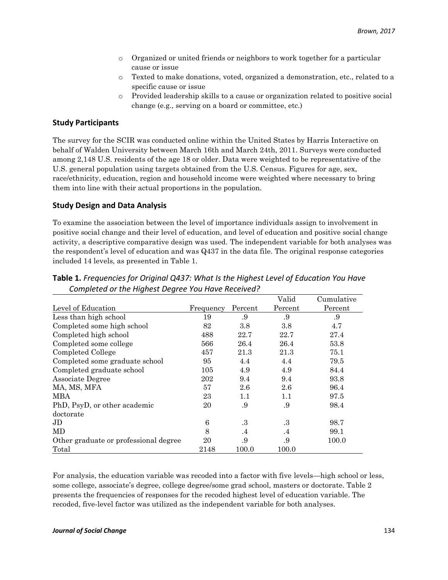- o Organized or united friends or neighbors to work together for a particular cause or issue
- o Texted to make donations, voted, organized a demonstration, etc., related to a specific cause or issue
- Provided leadership skills to a cause or organization related to positive social change (e.g., serving on a board or committee, etc.)

#### **Study Participants**

The survey for the SCIR was conducted online within the United States by Harris Interactive on behalf of Walden University between March 16th and March 24th, 2011. Surveys were conducted among 2,148 U.S. residents of the age 18 or older. Data were weighted to be representative of the U.S. general population using targets obtained from the U.S. Census. Figures for age, sex, race/ethnicity, education, region and household income were weighted where necessary to bring them into line with their actual proportions in the population.

#### **Study Design and Data Analysis**

To examine the association between the level of importance individuals assign to involvement in positive social change and their level of education, and level of education and positive social change activity, a descriptive comparative design was used. The independent variable for both analyses was the respondent's level of education and was Q437 in the data file. The original response categories included 14 levels, as presented in Table 1.

|                                       |           |           | Valid     | Cumulative |
|---------------------------------------|-----------|-----------|-----------|------------|
| Level of Education                    | Frequency | Percent   | Percent   | Percent    |
| Less than high school                 | 19        | .9        | .9        | .9         |
| Completed some high school            | 82        | 3.8       | 3.8       | 4.7        |
| Completed high school                 | 488       | 22.7      | 22.7      | 27.4       |
| Completed some college                | 566       | 26.4      | 26.4      | 53.8       |
| Completed College                     | 457       | 21.3      | 21.3      | 75.1       |
| Completed some graduate school        | 95        | 4.4       | 4.4       | 79.5       |
| Completed graduate school             | 105       | 4.9       | 4.9       | 84.4       |
| Associate Degree                      | 202       | 9.4       | 9.4       | 93.8       |
| MA, MS, MFA                           | 57        | 2.6       | 2.6       | 96.4       |
| <b>MBA</b>                            | 23        | 1.1       | 1.1       | 97.5       |
| PhD, PsyD, or other academic          | 20        | .9        | .9        | 98.4       |
| doctorate                             |           |           |           |            |
| JD.                                   | 6         | .3        | $\cdot$ 3 | 98.7       |
| MD                                    | 8         | $\cdot$ 4 | $\cdot$ 4 | 99.1       |
| Other graduate or professional degree | 20        | .9        | .9        | 100.0      |
| Total                                 | 2148      | 100.0     | 100.0     |            |

**Table 1.** *Frequencies for Original Q437: What Is the Highest Level of Education You Have Completed or the Highest Degree You Have Received?*

For analysis, the education variable was recoded into a factor with five levels—high school or less, some college, associate's degree, college degree/some grad school, masters or doctorate. Table 2 presents the frequencies of responses for the recoded highest level of education variable. The recoded, five-level factor was utilized as the independent variable for both analyses.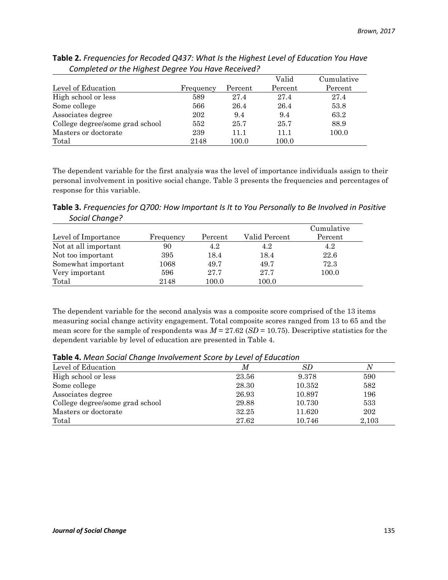|                                 |           |         | Valid   | Cumulative |
|---------------------------------|-----------|---------|---------|------------|
| Level of Education              | Frequency | Percent | Percent | Percent    |
| High school or less             | 589       | 27.4    | 27.4    | 27.4       |
| Some college                    | 566       | 26.4    | 26.4    | 53.8       |
| Associates degree               | 202       | 9.4     | 9.4     | 63.2       |
| College degree/some grad school | 552       | 25.7    | 25.7    | 88.9       |
| Masters or doctorate            | 239       | 11.1    | 11.1    | 100.0      |
| Total                           | 2148      | 100.0   | 100.0   |            |

**Table 2.** *Frequencies for Recoded Q437: What Is the Highest Level of Education You Have Completed or the Highest Degree You Have Received?*

The dependent variable for the first analysis was the level of importance individuals assign to their personal involvement in positive social change. Table 3 presents the frequencies and percentages of response for this variable.

**Table 3.** *Frequencies for Q700: How Important Is It to You Personally to Be Involved in Positive Social Change?*

|                      |           |         |               | Cumulative |
|----------------------|-----------|---------|---------------|------------|
| Level of Importance  | Frequency | Percent | Valid Percent | Percent    |
| Not at all important | 90        | 4.2     | 4.2           | 4.2        |
| Not too important    | 395       | 18.4    | 18.4          | 22.6       |
| Somewhat important   | 1068      | 49.7    | 49.7          | 72.3       |
| Very important       | 596       | 27.7    | 27.7          | 100.0      |
| Total                | 2148      | 100.0   | 100.0         |            |

The dependent variable for the second analysis was a composite score comprised of the 13 items measuring social change activity engagement. Total composite scores ranged from 13 to 65 and the mean score for the sample of respondents was  $M = 27.62$  ( $SD = 10.75$ ). Descriptive statistics for the dependent variable by level of education are presented in Table 4.

| Level of Education              | М     | SD     |       |
|---------------------------------|-------|--------|-------|
| High school or less             | 23.56 | 9.378  | 590   |
| Some college                    | 28.30 | 10.352 | 582   |
| Associates degree               | 26.93 | 10.897 | 196   |
| College degree/some grad school | 29.88 | 10.730 | 533   |
| Masters or doctorate            | 32.25 | 11.620 | 202   |
| Total                           | 27.62 | 10.746 | 2,103 |

**Table 4.** *Mean Social Change Involvement Score by Level of Education*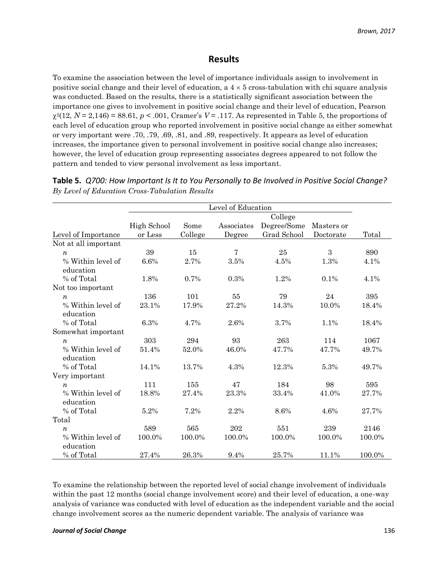### **Results**

To examine the association between the level of importance individuals assign to involvement in positive social change and their level of education, a  $4 \times 5$  cross-tabulation with chi square analysis was conducted. Based on the results, there is a statistically significant association between the importance one gives to involvement in positive social change and their level of education, Pearson  $\chi^2(12, N=2,146) = 88.61, p < .001$ , Cramer's  $V = .117$ . As represented in Table 5, the proportions of each level of education group who reported involvement in positive social change as either somewhat or very important were .70, .79, .69, .81, and .89, respectively. It appears as level of education increases, the importance given to personal involvement in positive social change also increases; however, the level of education group representing associates degrees appeared to not follow the pattern and tended to view personal involvement as less important.

|                                | Level of Education |         |                |             |            |        |
|--------------------------------|--------------------|---------|----------------|-------------|------------|--------|
|                                | College            |         |                |             |            |        |
|                                | High School        | Some    | Associates     | Degree/Some | Masters or |        |
| Level of Importance            | or Less            | College | Degree         | Grad School | Doctorate  | Total  |
| Not at all important           |                    |         |                |             |            |        |
| $\boldsymbol{n}$               | 39                 | 15      | $\overline{7}$ | 25          | 3          | 890    |
| % Within level of<br>education | 6.6%               | 2.7%    | 3.5%           | 4.5%        | 1.3%       | 4.1%   |
| % of Total                     | 1.8%               | 0.7%    | 0.3%           | 1.2%        | 0.1%       | 4.1%   |
| Not too important              |                    |         |                |             |            |        |
| $\boldsymbol{n}$               | 136                | 101     | 55             | 79          | 24         | 395    |
| % Within level of              | 23.1%              | 17.9%   | 27.2%          | 14.3%       | 10.0%      | 18.4%  |
| education                      |                    |         |                |             |            |        |
| % of Total                     | 6.3%               | 4.7%    | 2.6%           | 3.7%        | 1.1%       | 18.4%  |
| Somewhat important             |                    |         |                |             |            |        |
| $\boldsymbol{n}$               | 303                | 294     | 93             | 263         | 114        | 1067   |
| % Within level of              | 51.4%              | 52.0%   | 46.0%          | 47.7%       | 47.7%      | 49.7%  |
| education                      |                    |         |                |             |            |        |
| % of Total                     | 14.1%              | 13.7%   | 4.3%           | 12.3%       | 5.3%       | 49.7%  |
| Very important                 |                    |         |                |             |            |        |
| n                              | 111                | 155     | 47             | 184         | 98         | 595    |
| % Within level of              | 18.8%              | 27.4%   | 23.3%          | 33.4%       | 41.0%      | 27.7%  |
| education                      |                    |         |                |             |            |        |
| % of Total                     | 5.2%               | 7.2%    | 2.2%           | 8.6%        | 4.6%       | 27.7%  |
| Total                          |                    |         |                |             |            |        |
| $\boldsymbol{n}$               | 589                | 565     | 202            | 551         | 239        | 2146   |
| % Within level of<br>education | 100.0%             | 100.0%  | 100.0%         | 100.0%      | 100.0%     | 100.0% |
| % of Total                     | 27.4%              | 26.3%   | 9.4%           | 25.7%       | 11.1%      | 100.0% |

**Table 5.** *Q700: How Important Is It to You Personally to Be Involved in Positive Social Change? By Level of Education Cross-Tabulation Results*

To examine the relationship between the reported level of social change involvement of individuals within the past 12 months (social change involvement score) and their level of education, a one-way analysis of variance was conducted with level of education as the independent variable and the social change involvement scores as the numeric dependent variable. The analysis of variance was

#### *Journal of Social Change* 136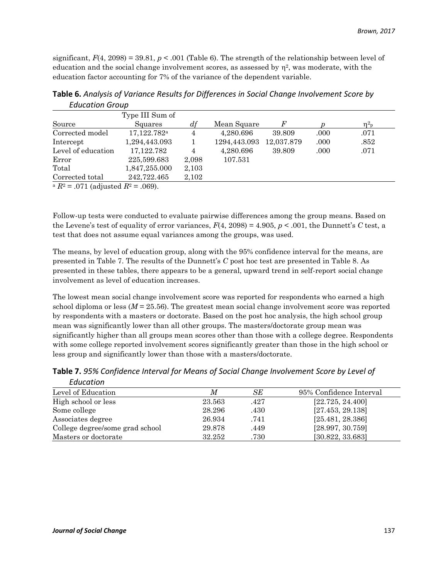significant,  $F(4, 2098) = 39.81$ ,  $p < .001$  (Table 6). The strength of the relationship between level of education and the social change involvement scores, as assessed by  $\eta^2$ , was moderate, with the education factor accounting for 7% of the variance of the dependent variable.

|                                         | Type III Sum of         |       |              |            |      |                  |
|-----------------------------------------|-------------------------|-------|--------------|------------|------|------------------|
| Source                                  | Squares                 | df    | Mean Square  | F          |      | $\eta_{\rm p}^2$ |
| Corrected model                         | 17,122.782 <sup>a</sup> | 4     | 4,280.696    | 39.809     | .000 | .071             |
| Intercept                               | 1,294,443.093           |       | 1294,443.093 | 12,037.879 | .000 | .852             |
| Level of education                      | 17, 122. 782            | 4     | 4,280.696    | 39.809     | .000 | .071             |
| Error                                   | 225,599.683             | 2,098 | 107.531      |            |      |                  |
| Total                                   | 1,847,255.000           | 2,103 |              |            |      |                  |
| Corrected total                         | 242.722.465             | 2,102 |              |            |      |                  |
| a $R_2 = 0.71$ (adjusted $R_2 = 0.69$ ) |                         |       |              |            |      |                  |

**Table 6.** *Analysis of Variance Results for Differences in Social Change Involvement Score by Education Group*

 $R^2 = 0.071$  (adjusted  $R^2 = 0.069$ ).

Follow-up tests were conducted to evaluate pairwise differences among the group means. Based on the Levene's test of equality of error variances,  $F(4, 2098) = 4.905$ ,  $p < .001$ , the Dunnett's *C* test, a test that does not assume equal variances among the groups, was used.

The means, by level of education group, along with the 95% confidence interval for the means, are presented in Table 7. The results of the Dunnett's *C* post hoc test are presented in Table 8. As presented in these tables, there appears to be a general, upward trend in self-report social change involvement as level of education increases.

The lowest mean social change involvement score was reported for respondents who earned a high school diploma or less  $(M = 25.56)$ . The greatest mean social change involvement score was reported by respondents with a masters or doctorate. Based on the post hoc analysis, the high school group mean was significantly lower than all other groups. The masters/doctorate group mean was significantly higher than all groups mean scores other than those with a college degree. Respondents with some college reported involvement scores significantly greater than those in the high school or less group and significantly lower than those with a masters/doctorate.

| Luucucioni                      |        |      |                         |
|---------------------------------|--------|------|-------------------------|
| Level of Education              | М      | SЕ   | 95% Confidence Interval |
| High school or less             | 23.563 | .427 | [22.725, 24.400]        |
| Some college                    | 28.296 | .430 | [27.453, 29.138]        |
| Associates degree               | 26.934 | .741 | [25.481, 28.386]        |
| College degree/some grad school | 29.878 | .449 | [28.997, 30.759]        |
| Masters or doctorate            | 32.252 | .730 | [30.822, 33.683]        |

**Table 7.** *95% Confidence Interval for Means of Social Change Involvement Score by Level of Education*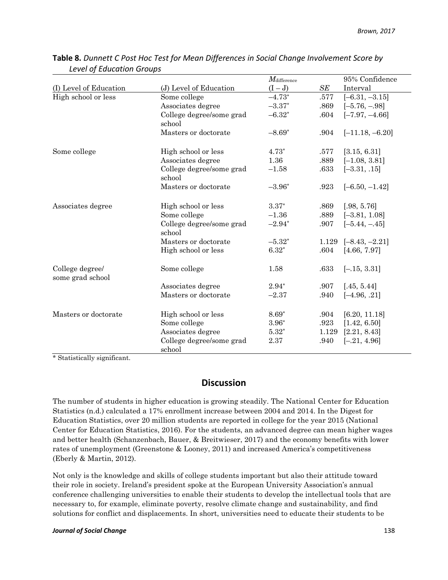|                                     |                                    | $M_{\text{difference}}$ |       | 95% Confidence    |
|-------------------------------------|------------------------------------|-------------------------|-------|-------------------|
| (I) Level of Education              | (J) Level of Education             | $(I-J)$                 | SE    | Interval          |
| High school or less                 | Some college                       | $-4.73*$                | .577  | $[-6.31, -3.15]$  |
|                                     | Associates degree                  | $-3.37*$                | .869  | $[-5.76, -.98]$   |
|                                     | College degree/some grad<br>school | $-6.32*$                | .604  | $[-7.97, -4.66]$  |
|                                     | Masters or doctorate               | $-8.69*$                | .904  | $[-11.18, -6.20]$ |
| Some college                        | High school or less                | $4.73*$                 | .577  | [3.15, 6.31]      |
|                                     | Associates degree                  | 1.36                    | .889  | $[-1.08, 3.81]$   |
|                                     | College degree/some grad<br>school | $-1.58$                 | .633  | $[-3.31, .15]$    |
|                                     | Masters or doctorate               | $-3.96*$                | .923  | $[-6.50, -1.42]$  |
| Associates degree                   | High school or less                | $3.37*$                 | .869  | [.98, 5.76]       |
|                                     | Some college                       | $-1.36$                 | .889  | $[-3.81, 1.08]$   |
|                                     | College degree/some grad<br>school | $-2.94*$                | .907  | $[-5.44, -45]$    |
|                                     | Masters or doctorate               | $-5.32*$                | 1.129 | $[-8.43, -2.21]$  |
|                                     | High school or less                | $6.32*$                 | .604  | [4.66, 7.97]      |
| College degree/<br>some grad school | Some college                       | 1.58                    | .633  | $[-.15, 3.31]$    |
|                                     | Associates degree                  | $2.94*$                 | .907  | [.45, 5.44]       |
|                                     | Masters or doctorate               | $-2.37$                 | .940  | $[-4.96, .21]$    |
| Masters or doctorate                | High school or less                | $8.69*$                 | .904  | [6.20, 11.18]     |
|                                     | Some college                       | $3.96*$                 | .923  | [1.42, 6.50]      |
|                                     | Associates degree                  | $5.32*$                 | 1.129 | [2.21, 8.43]      |
|                                     | College degree/some grad<br>school | 2.37                    | .940  | $[-.21, 4.96]$    |

|                           | Table 8. Dunnett C Post Hoc Test for Mean Differences in Social Change Involvement Score by |
|---------------------------|---------------------------------------------------------------------------------------------|
| Level of Education Groups |                                                                                             |

\* Statistically significant.

### **Discussion**

The number of students in higher education is growing steadily. The National Center for Education Statistics (n.d.) calculated a 17% enrollment increase between 2004 and 2014. In the Digest for Education Statistics, over 20 million students are reported in college for the year 2015 (National Center for Education Statistics, 2016). For the students, an advanced degree can mean higher wages and better health (Schanzenbach, Bauer, & Breitwieser, 2017) and the economy benefits with lower rates of unemployment (Greenstone & Looney, 2011) and increased America's competitiveness (Eberly & Martin, 2012).

Not only is the knowledge and skills of college students important but also their attitude toward their role in society. Ireland's president spoke at the European University Association's annual conference challenging universities to enable their students to develop the intellectual tools that are necessary to, for example, eliminate poverty, resolve climate change and sustainability, and find solutions for conflict and displacements. In short, universities need to educate their students to be

#### *Journal of Social Change* 138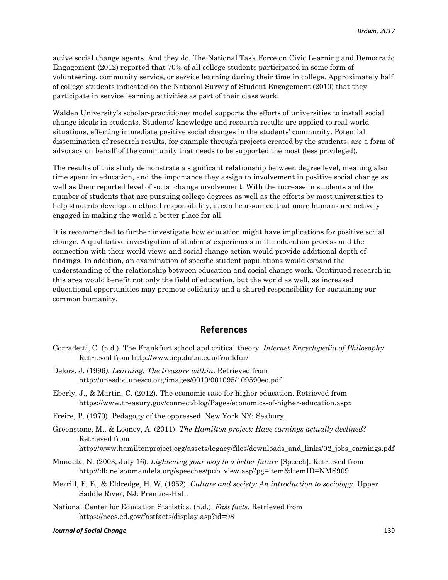active social change agents. And they do. The National Task Force on Civic Learning and Democratic Engagement (2012) reported that 70% of all college students participated in some form of volunteering, community service, or service learning during their time in college. Approximately half of college students indicated on the National Survey of Student Engagement (2010) that they participate in service learning activities as part of their class work.

Walden University's scholar-practitioner model supports the efforts of universities to install social change ideals in students. Students' knowledge and research results are applied to real-world situations, effecting immediate positive social changes in the students' community. Potential dissemination of research results, for example through projects created by the students, are a form of advocacy on behalf of the community that needs to be supported the most (less privileged).

The results of this study demonstrate a significant relationship between degree level, meaning also time spent in education, and the importance they assign to involvement in positive social change as well as their reported level of social change involvement. With the increase in students and the number of students that are pursuing college degrees as well as the efforts by most universities to help students develop an ethical responsibility, it can be assumed that more humans are actively engaged in making the world a better place for all.

It is recommended to further investigate how education might have implications for positive social change. A qualitative investigation of students' experiences in the education process and the connection with their world views and social change action would provide additional depth of findings. In addition, an examination of specific student populations would expand the understanding of the relationship between education and social change work. Continued research in this area would benefit not only the field of education, but the world as well, as increased educational opportunities may promote solidarity and a shared responsibility for sustaining our common humanity.

### **References**

- Corradetti, C. (n.d.). The Frankfurt school and critical theory. *Internet Encyclopedia of Philosophy*. Retrieved from<http://www.iep.dutm.edu/frankfur/>
- Delors, J. (1996*). Learning: The treasure within*. Retrieved from http://unesdoc.unesco.org/images/0010/001095/109590eo.pdf
- Eberly, J., & Martin, C. (2012). The economic case for higher education. Retrieved from <https://www.treasury.gov/connect/blog/Pages/economics-of-higher-education.aspx>
- Freire, P. (1970). Pedagogy of the oppressed. New York NY: Seabury.
- Greenstone, M., & Looney, A. (2011). *The Hamilton project: Have earnings actually declined?*  Retrieved from [http://www.hamiltonproject.org/assets/legacy/files/downloads\\_and\\_links/02\\_jobs\\_earnings.pdf](http://www.hamiltonproject.org/assets/legacy/files/downloads_and_links/02_jobs_earnings.pdf)
- Mandela, N. (2003, July 16). *Lightening your way to a better future* [Speech]. Retrieved from [http://db.nelsonmandela.org/speeches/pub\\_view.asp?pg=item&ItemID=NMS909](http://db.nelsonmandela.org/speeches/pub_view.asp?pg=item&ItemID=NMS909)
- Merrill, F. E., & Eldredge, H. W. (1952). *Culture and society: An introduction to sociology*. Upper Saddle River, NJ: Prentice-Hall.
- National Center for Education Statistics. (n.d.). *Fast facts*. Retrieved from <https://nces.ed.gov/fastfacts/display.asp?id=98>

#### *Journal of Social Change* 139